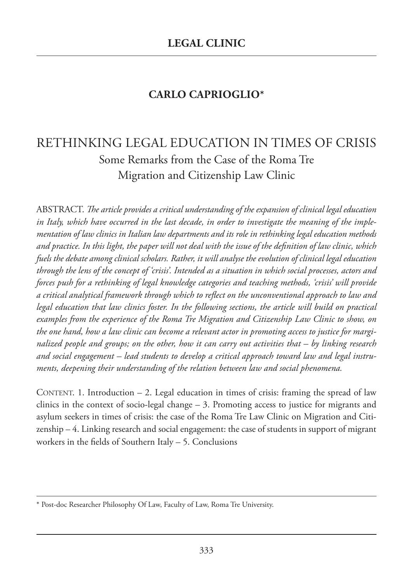# **CARLO CAPRIOGLIO\***

# RETHINKING LEGAL EDUCATION IN TIMES OF CRISIS Some Remarks from the Case of the Roma Tre Migration and Citizenship Law Clinic

ABSTRACT. *The article provides a critical understanding of the expansion of clinical legal education in Italy, which have occurred in the last decade, in order to investigate the meaning of the implementation of law clinics in Italian law departments and its role in rethinking legal education methods and practice. In this light, the paper will not deal with the issue of the definition of law clinic, which fuels the debate among clinical scholars. Rather, it will analyse the evolution of clinical legal education through the lens of the concept of 'crisis'. Intended as a situation in which social processes, actors and forces push for a rethinking of legal knowledge categories and teaching methods, 'crisis' will provide a critical analytical framework through which to reflect on the unconventional approach to law and legal education that law clinics foster. In the following sections, the article will build on practical examples from the experience of the Roma Tre Migration and Citizenship Law Clinic to show, on the one hand, how a law clinic can become a relevant actor in promoting access to justice for marginalized people and groups; on the other, how it can carry out activities that – by linking research and social engagement – lead students to develop a critical approach toward law and legal instruments, deepening their understanding of the relation between law and social phenomena.*

CONTENT. 1. Introduction – 2. Legal education in times of crisis: framing the spread of law clinics in the context of socio-legal change  $-3$ . Promoting access to justice for migrants and asylum seekers in times of crisis: the case of the Roma Tre Law Clinic on Migration and Citizenship – 4. Linking research and social engagement: the case of students in support of migrant workers in the fields of Southern Italy – 5. Conclusions

<sup>\*</sup> Post-doc Researcher Philosophy Of Law, Faculty of Law, Roma Tre University.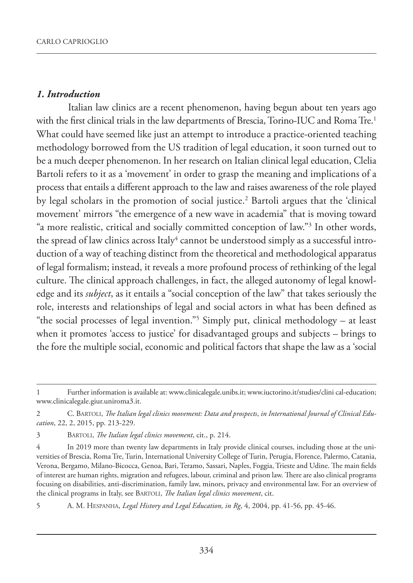#### *1. Introduction*

Italian law clinics are a recent phenomenon, having begun about ten years ago with the first clinical trials in the law departments of Brescia, Torino-IUC and Roma Tre.<sup>1</sup> What could have seemed like just an attempt to introduce a practice-oriented teaching methodology borrowed from the US tradition of legal education, it soon turned out to be a much deeper phenomenon. In her research on Italian clinical legal education, Clelia Bartoli refers to it as a 'movement' in order to grasp the meaning and implications of a process that entails a different approach to the law and raises awareness of the role played by legal scholars in the promotion of social justice.<sup>2</sup> Bartoli argues that the 'clinical movement' mirrors "the emergence of a new wave in academia" that is moving toward "a more realistic, critical and socially committed conception of law."3 In other words, the spread of law clinics across Italy $^4$  cannot be understood simply as a successful introduction of a way of teaching distinct from the theoretical and methodological apparatus of legal formalism; instead, it reveals a more profound process of rethinking of the legal culture. The clinical approach challenges, in fact, the alleged autonomy of legal knowledge and its *subject*, as it entails a "social conception of the law" that takes seriously the role, interests and relationships of legal and social actors in what has been defined as "the social processes of legal invention."5 Simply put, clinical methodology – at least when it promotes 'access to justice' for disadvantaged groups and subjects – brings to the fore the multiple social, economic and political factors that shape the law as a 'social

<sup>1</sup> Further information is available at: www.clinicalegale.unibs.it; www.iuctorino.it/studies/clini cal-education; www.clinicalegale.giur.uniroma3.it.

<sup>2</sup> C. BARTOLI, *The Italian legal clinics movement: Data and prospects*, *in International Journal of Clinical Education*, 22, 2, 2015, pp. 213-229.

<sup>3</sup> BARTOLI, *The Italian legal clinics movement*, cit., p. 214.

<sup>4</sup> In 2019 more than twenty law departments in Italy provide clinical courses, including those at the universities of Brescia, Roma Tre, Turin, International University College of Turin, Perugia, Florence, Palermo, Catania, Verona, Bergamo, Milano-Bicocca, Genoa, Bari, Teramo, Sassari, Naples, Foggia, Trieste and Udine. The main fields of interest are human rights, migration and refugees, labour, criminal and prison law. There are also clinical programs focusing on disabilities, anti-discrimination, family law, minors, privacy and environmental law. For an overview of the clinical programs in Italy, see BARTOLI, *The Italian legal clinics movement*, cit.

<sup>5</sup> A. M. HESPANHA, *Legal History and Legal Education, in Rg*, 4, 2004, pp. 41-56, pp. 45-46.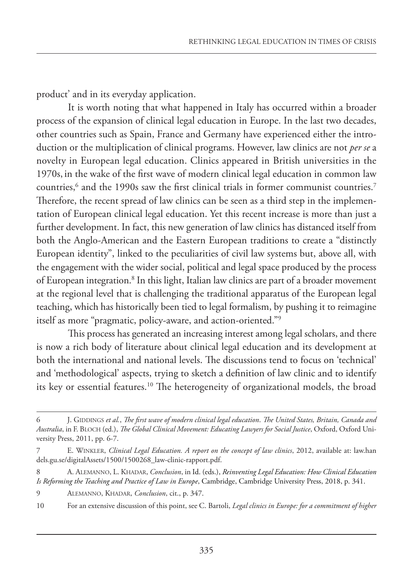product' and in its everyday application.

It is worth noting that what happened in Italy has occurred within a broader process of the expansion of clinical legal education in Europe. In the last two decades, other countries such as Spain, France and Germany have experienced either the introduction or the multiplication of clinical programs. However, law clinics are not *per se* a novelty in European legal education. Clinics appeared in British universities in the 1970s, in the wake of the first wave of modern clinical legal education in common law countries, $<sup>6</sup>$  and the 1990s saw the first clinical trials in former communist countries.<sup>7</sup></sup> Therefore, the recent spread of law clinics can be seen as a third step in the implementation of European clinical legal education. Yet this recent increase is more than just a further development. In fact, this new generation of law clinics has distanced itself from both the Anglo-American and the Eastern European traditions to create a "distinctly European identity", linked to the peculiarities of civil law systems but, above all, with the engagement with the wider social, political and legal space produced by the process of European integration.<sup>8</sup> In this light, Italian law clinics are part of a broader movement at the regional level that is challenging the traditional apparatus of the European legal teaching, which has historically been tied to legal formalism, by pushing it to reimagine itself as more "pragmatic, policy-aware, and action-oriented."9

This process has generated an increasing interest among legal scholars, and there is now a rich body of literature about clinical legal education and its development at both the international and national levels. The discussions tend to focus on 'technical' and 'methodological' aspects, trying to sketch a definition of law clinic and to identify its key or essential features.10 The heterogeneity of organizational models, the broad

<sup>6</sup> J. GIDDINGS *et al.*, *The first wave of modern clinical legal education*. *The United States, Britain, Canada and Australia*, in F. BLOCH (ed.), *The Global Clinical Movement: Educating Lawyers for Social Justice*, Oxford, Oxford University Press, 2011, pp. 6-7.

<sup>7</sup> E. WINKLER, *Clinical Legal Education. A report on the concept of law clinics*, 2012, available at: law.han dels.gu.se/digitalAssets/1500/1500268\_law-clinic-rapport.pdf.

<sup>8</sup> A. ALEMANNO, L. KHADAR, *Conclusion*, in Id. (eds.), *Reinventing Legal Education: How Clinical Education Is Reforming the Teaching and Practice of Law in Europe*, Cambridge, Cambridge University Press, 2018, p. 341.

<sup>9</sup> ALEMANNO, KHADAR, *Conclusion*, cit., p. 347.

<sup>10</sup> For an extensive discussion of this point, see C. Bartoli, *Legal clinics in Europe: for a commitment of higher*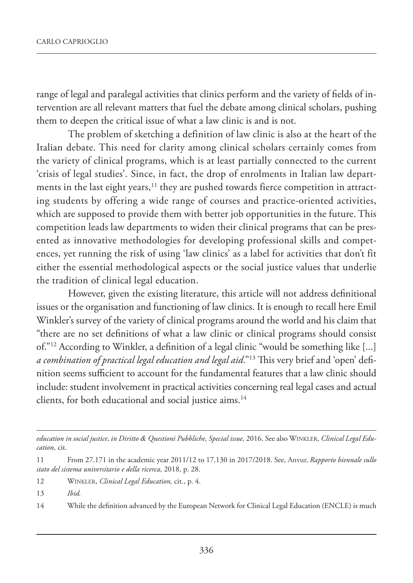range of legal and paralegal activities that clinics perform and the variety of fields of intervention are all relevant matters that fuel the debate among clinical scholars, pushing them to deepen the critical issue of what a law clinic is and is not.

The problem of sketching a definition of law clinic is also at the heart of the Italian debate. This need for clarity among clinical scholars certainly comes from the variety of clinical programs, which is at least partially connected to the current 'crisis of legal studies'. Since, in fact, the drop of enrolments in Italian law departments in the last eight years,<sup>11</sup> they are pushed towards fierce competition in attracting students by offering a wide range of courses and practice-oriented activities, which are supposed to provide them with better job opportunities in the future. This competition leads law departments to widen their clinical programs that can be presented as innovative methodologies for developing professional skills and competences, yet running the risk of using 'law clinics' as a label for activities that don't fit either the essential methodological aspects or the social justice values that underlie the tradition of clinical legal education.

However, given the existing literature, this article will not address definitional issues or the organisation and functioning of law clinics. It is enough to recall here Emil Winkler's survey of the variety of clinical programs around the world and his claim that "there are no set definitions of what a law clinic or clinical programs should consist of."12 According to Winkler, a definition of a legal clinic "would be something like [...] *a combination of practical legal education and legal aid*."13 This very brief and 'open' definition seems sufficient to account for the fundamental features that a law clinic should include: student involvement in practical activities concerning real legal cases and actual clients, for both educational and social justice aims.<sup>14</sup>

- 12 WINKLER, *Clinical Legal Education,* cit*.*, p. 4.
- 13 *Ibid.*

14 While the definition advanced by the European Network for Clinical Legal Education (ENCLE) is much

*education in social justice*, *in Diritto & Questioni Pubbliche, Special issue,* 2016. See also WINKLER, *Clinical Legal Education*, cit.

<sup>11</sup> From 27.171 in the academic year 2011/12 to 17.130 in 2017/2018. See, Anvur, *Rapporto biennale sullo stato del sistema universitario e della ricerca*, 2018, p. 28.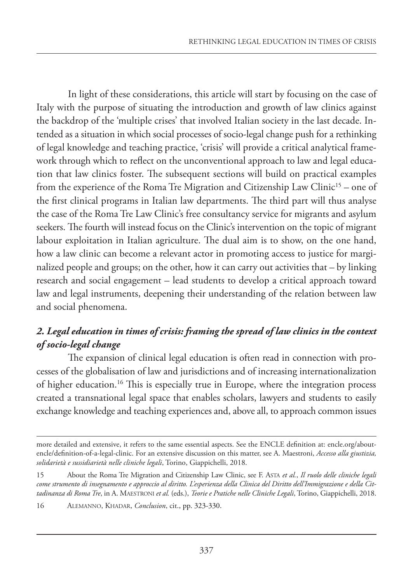In light of these considerations, this article will start by focusing on the case of Italy with the purpose of situating the introduction and growth of law clinics against the backdrop of the 'multiple crises' that involved Italian society in the last decade. Intended as a situation in which social processes of socio-legal change push for a rethinking of legal knowledge and teaching practice, 'crisis' will provide a critical analytical framework through which to reflect on the unconventional approach to law and legal education that law clinics foster. The subsequent sections will build on practical examples from the experience of the Roma Tre Migration and Citizenship Law Clinic<sup>15</sup> – one of the first clinical programs in Italian law departments. The third part will thus analyse the case of the Roma Tre Law Clinic's free consultancy service for migrants and asylum seekers. The fourth will instead focus on the Clinic's intervention on the topic of migrant labour exploitation in Italian agriculture. The dual aim is to show, on the one hand, how a law clinic can become a relevant actor in promoting access to justice for marginalized people and groups; on the other, how it can carry out activities that – by linking research and social engagement – lead students to develop a critical approach toward law and legal instruments, deepening their understanding of the relation between law and social phenomena.

## *2. Legal education in times of crisis: framing the spread of law clinics in the context of socio-legal change*

The expansion of clinical legal education is often read in connection with processes of the globalisation of law and jurisdictions and of increasing internationalization of higher education.<sup>16</sup> This is especially true in Europe, where the integration process created a transnational legal space that enables scholars, lawyers and students to easily exchange knowledge and teaching experiences and, above all, to approach common issues

more detailed and extensive, it refers to the same essential aspects. See the ENCLE definition at: encle.org/aboutencle/definition-of-a-legal-clinic. For an extensive discussion on this matter, see A. Maestroni, *Accesso alla giustizia, solidarietà e sussidiarietà nelle cliniche legali*, Torino, Giappichelli, 2018.

<sup>15</sup> About the Roma Tre Migration and Citizenship Law Clinic, see F. ASTA *et al.*, *Il ruolo delle cliniche legali come strumento di insegnamento e approccio al diritto. L'esperienza della Clinica del Diritto dell'Immigrazione e della Cittadinanza di Roma Tre*, in A. MAESTRONI *et al.* (eds.), *Teorie e Pratiche nelle Cliniche Legali*, Torino, Giappichelli, 2018.

<sup>16</sup> ALEMANNO, KHADAR, *Conclusion*, cit., pp. 323-330.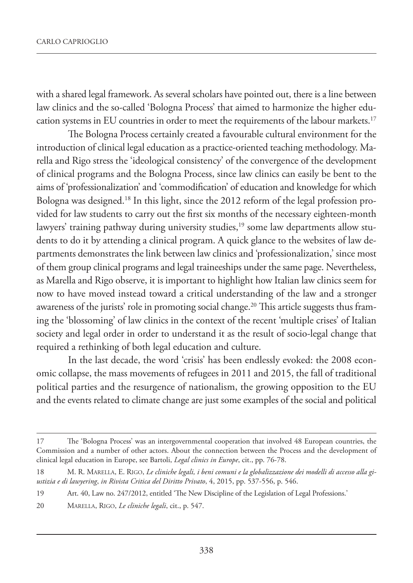with a shared legal framework. As several scholars have pointed out, there is a line between law clinics and the so-called 'Bologna Process' that aimed to harmonize the higher education systems in EU countries in order to meet the requirements of the labour markets.17

The Bologna Process certainly created a favourable cultural environment for the introduction of clinical legal education as a practice-oriented teaching methodology. Marella and Rigo stress the 'ideological consistency' of the convergence of the development of clinical programs and the Bologna Process, since law clinics can easily be bent to the aims of 'professionalization' and 'commodification' of education and knowledge for which Bologna was designed.18 In this light, since the 2012 reform of the legal profession provided for law students to carry out the first six months of the necessary eighteen-month lawyers' training pathway during university studies,<sup>19</sup> some law departments allow students to do it by attending a clinical program. A quick glance to the websites of law departments demonstrates the link between law clinics and 'professionalization,' since most of them group clinical programs and legal traineeships under the same page. Nevertheless, as Marella and Rigo observe, it is important to highlight how Italian law clinics seem for now to have moved instead toward a critical understanding of the law and a stronger awareness of the jurists' role in promoting social change.<sup>20</sup> This article suggests thus framing the 'blossoming' of law clinics in the context of the recent 'multiple crises' of Italian society and legal order in order to understand it as the result of socio-legal change that required a rethinking of both legal education and culture.

In the last decade, the word 'crisis' has been endlessly evoked: the 2008 economic collapse, the mass movements of refugees in 2011 and 2015, the fall of traditional political parties and the resurgence of nationalism, the growing opposition to the EU and the events related to climate change are just some examples of the social and political

<sup>17</sup> The 'Bologna Process' was an intergovernmental cooperation that involved 48 European countries, the Commission and a number of other actors. About the connection between the Process and the development of clinical legal education in Europe, see Bartoli, *Legal clinics in Europe*, cit., pp. 76-78.

<sup>18</sup> M. R. MARELLA, E. RIGO, *Le cliniche legali, i beni comuni e la globalizzazione dei modelli di accesso alla giustizia e di lawyering*, *in Rivista Critica del Diritto Privato*, 4, 2015, pp. 537-556, p. 546.

<sup>19</sup> Art. 40, Law no. 247/2012, entitled 'The New Discipline of the Legislation of Legal Professions.'

<sup>20</sup> MARELLA, RIGO, *Le cliniche legali*, cit., p. 547.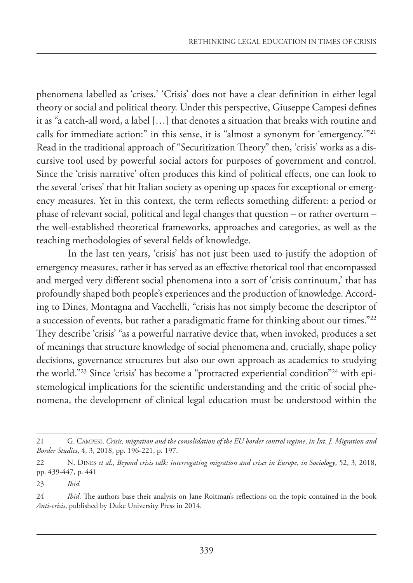phenomena labelled as 'crises.' 'Crisis' does not have a clear definition in either legal theory or social and political theory. Under this perspective, Giuseppe Campesi defines it as "a catch-all word, a label […] that denotes a situation that breaks with routine and calls for immediate action:" in this sense, it is "almost a synonym for 'emergency.'"21 Read in the traditional approach of "Securitization Theory" then, 'crisis' works as a discursive tool used by powerful social actors for purposes of government and control. Since the 'crisis narrative' often produces this kind of political effects, one can look to the several 'crises' that hit Italian society as opening up spaces for exceptional or emergency measures. Yet in this context, the term reflects something different: a period or phase of relevant social, political and legal changes that question – or rather overturn – the well-established theoretical frameworks, approaches and categories, as well as the teaching methodologies of several fields of knowledge.

In the last ten years, 'crisis' has not just been used to justify the adoption of emergency measures, rather it has served as an effective rhetorical tool that encompassed and merged very different social phenomena into a sort of 'crisis continuum,' that has profoundly shaped both people's experiences and the production of knowledge. According to Dines, Montagna and Vacchelli, "crisis has not simply become the descriptor of a succession of events, but rather a paradigmatic frame for thinking about our times."22 They describe 'crisis' "as a powerful narrative device that, when invoked, produces a set of meanings that structure knowledge of social phenomena and, crucially, shape policy decisions, governance structures but also our own approach as academics to studying the world."23 Since 'crisis' has become a "protracted experiential condition"24 with epistemological implications for the scientific understanding and the critic of social phenomena, the development of clinical legal education must be understood within the

<sup>21</sup> G. CAMPESI, *Crisis, migration and the consolidation of the EU border control regime*, *in Int. J. Migration and Border Studies*, 4, 3, 2018, pp. 196-221, p. 197.

<sup>22</sup> N. DINES *et al.*, *Beyond crisis talk: interrogating migration and crises in Europe, in Sociology*, 52, 3, 2018, pp. 439-447, p. 441

<sup>23</sup> *Ibid.*

<sup>24</sup> *Ibid*. The authors base their analysis on Jane Roitman's reflections on the topic contained in the book *Anti-crisis*, published by Duke University Press in 2014.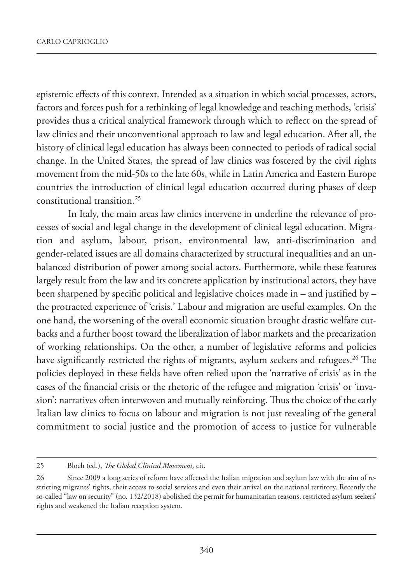epistemic effects of this context. Intended as a situation in which social processes, actors, factors and forces push for a rethinking of legal knowledge and teaching methods, 'crisis' provides thus a critical analytical framework through which to reflect on the spread of law clinics and their unconventional approach to law and legal education. After all, the history of clinical legal education has always been connected to periods of radical social change. In the United States, the spread of law clinics was fostered by the civil rights movement from the mid-50s to the late 60s, while in Latin America and Eastern Europe countries the introduction of clinical legal education occurred during phases of deep constitutional transition.25

In Italy, the main areas law clinics intervene in underline the relevance of processes of social and legal change in the development of clinical legal education. Migration and asylum, labour, prison, environmental law, anti-discrimination and gender-related issues are all domains characterized by structural inequalities and an unbalanced distribution of power among social actors. Furthermore, while these features largely result from the law and its concrete application by institutional actors, they have been sharpened by specific political and legislative choices made in – and justified by – the protracted experience of 'crisis.' Labour and migration are useful examples. On the one hand, the worsening of the overall economic situation brought drastic welfare cutbacks and a further boost toward the liberalization of labor markets and the precarization of working relationships. On the other, a number of legislative reforms and policies have significantly restricted the rights of migrants, asylum seekers and refugees.<sup>26</sup> The policies deployed in these fields have often relied upon the 'narrative of crisis' as in the cases of the financial crisis or the rhetoric of the refugee and migration 'crisis' or 'invasion': narratives often interwoven and mutually reinforcing. Thus the choice of the early Italian law clinics to focus on labour and migration is not just revealing of the general commitment to social justice and the promotion of access to justice for vulnerable

<sup>25</sup> Bloch (ed.), *The Global Clinical Movement,* cit.

<sup>26</sup> Since 2009 a long series of reform have affected the Italian migration and asylum law with the aim of restricting migrants' rights, their access to social services and even their arrival on the national territory. Recently the so-called "law on security" (no. 132/2018) abolished the permit for humanitarian reasons, restricted asylum seekers' rights and weakened the Italian reception system.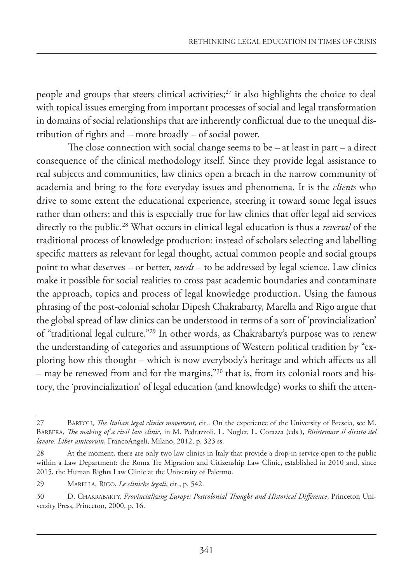people and groups that steers clinical activities;<sup>27</sup> it also highlights the choice to deal with topical issues emerging from important processes of social and legal transformation in domains of social relationships that are inherently conflictual due to the unequal distribution of rights and – more broadly – of social power.

The close connection with social change seems to be – at least in part – a direct consequence of the clinical methodology itself. Since they provide legal assistance to real subjects and communities, law clinics open a breach in the narrow community of academia and bring to the fore everyday issues and phenomena. It is the *clients* who drive to some extent the educational experience, steering it toward some legal issues rather than others; and this is especially true for law clinics that offer legal aid services directly to the public.28 What occurs in clinical legal education is thus a *reversal* of the traditional process of knowledge production: instead of scholars selecting and labelling specific matters as relevant for legal thought, actual common people and social groups point to what deserves – or better, *needs* – to be addressed by legal science. Law clinics make it possible for social realities to cross past academic boundaries and contaminate the approach, topics and process of legal knowledge production. Using the famous phrasing of the post-colonial scholar Dipesh Chakrabarty, Marella and Rigo argue that the global spread of law clinics can be understood in terms of a sort of 'provincialization' of "traditional legal culture."29 In other words, as Chakrabarty's purpose was to renew the understanding of categories and assumptions of Western political tradition by "exploring how this thought – which is now everybody's heritage and which affects us all – may be renewed from and for the margins,"30 that is, from its colonial roots and history, the 'provincialization' of legal education (and knowledge) works to shift the atten-

<sup>27</sup> BARTOLI, *The Italian legal clinics movement*, cit.. On the experience of the University of Brescia, see M. BARBERA, *The making of a civil law clinic*, in M. Pedrazzoli, L. Nogler, L. Corazza (eds.), *Risistemare il diritto del lavoro*. *Liber amicorum*, FrancoAngeli, Milano, 2012, p. 323 ss.

<sup>28</sup> At the moment, there are only two law clinics in Italy that provide a drop-in service open to the public within a Law Department: the Roma Tre Migration and Citizenship Law Clinic, established in 2010 and, since 2015, the Human Rights Law Clinic at the University of Palermo.

<sup>29</sup> MARELLA, RIGO, *Le cliniche legali*, cit., p. 542.

<sup>30</sup> D. CHAKRABARTY, *Provincializing Europe: Postcolonial Thought and Historical Difference*, Princeton University Press, Princeton, 2000, p. 16.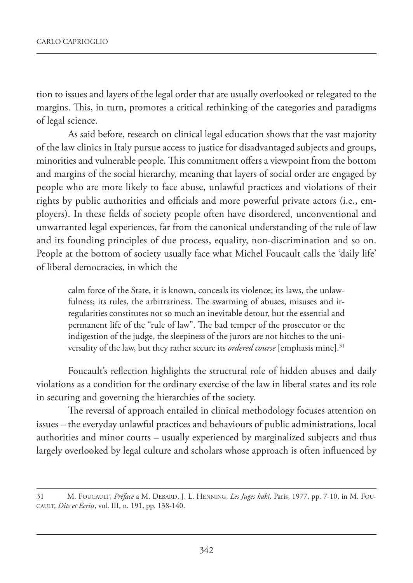tion to issues and layers of the legal order that are usually overlooked or relegated to the margins. This, in turn, promotes a critical rethinking of the categories and paradigms of legal science.

As said before, research on clinical legal education shows that the vast majority of the law clinics in Italy pursue access to justice for disadvantaged subjects and groups, minorities and vulnerable people. This commitment offers a viewpoint from the bottom and margins of the social hierarchy, meaning that layers of social order are engaged by people who are more likely to face abuse, unlawful practices and violations of their rights by public authorities and officials and more powerful private actors (i.e., employers). In these fields of society people often have disordered, unconventional and unwarranted legal experiences, far from the canonical understanding of the rule of law and its founding principles of due process, equality, non-discrimination and so on. People at the bottom of society usually face what Michel Foucault calls the 'daily life' of liberal democracies, in which the

calm force of the State, it is known, conceals its violence; its laws, the unlawfulness; its rules, the arbitrariness. The swarming of abuses, misuses and irregularities constitutes not so much an inevitable detour, but the essential and permanent life of the "rule of law". The bad temper of the prosecutor or the indigestion of the judge, the sleepiness of the jurors are not hitches to the universality of the law, but they rather secure its *ordered course* [emphasis mine].31

Foucault's reflection highlights the structural role of hidden abuses and daily violations as a condition for the ordinary exercise of the law in liberal states and its role in securing and governing the hierarchies of the society.

The reversal of approach entailed in clinical methodology focuses attention on issues – the everyday unlawful practices and behaviours of public administrations, local authorities and minor courts – usually experienced by marginalized subjects and thus largely overlooked by legal culture and scholars whose approach is often influenced by

<sup>31</sup> M. FOUCAULT, *Préface* a M. DEBARD, J. L. HENNING, *Les Juges kaki,* Paris, 1977, pp. 7-10, in M. FOU-CAULT, *Dits et Écrits*, vol. III, n. 191, pp. 138-140.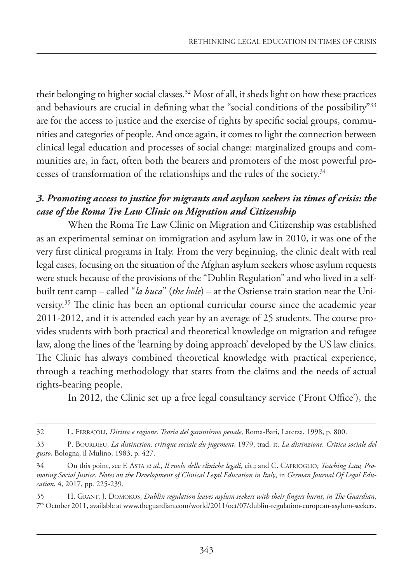their belonging to higher social classes.<sup>32</sup> Most of all, it sheds light on how these practices and behaviours are crucial in defining what the "social conditions of the possibility"33 are for the access to justice and the exercise of rights by specific social groups, communities and categories of people. And once again, it comes to light the connection between clinical legal education and processes of social change: marginalized groups and communities are, in fact, often both the bearers and promoters of the most powerful processes of transformation of the relationships and the rules of the society.<sup>34</sup>

### *3. Promoting access to justice for migrants and asylum seekers in times of crisis: the case of the Roma Tre Law Clinic on Migration and Citizenship*

When the Roma Tre Law Clinic on Migration and Citizenship was established as an experimental seminar on immigration and asylum law in 2010, it was one of the very first clinical programs in Italy. From the very beginning, the clinic dealt with real legal cases, focusing on the situation of the Afghan asylum seekers whose asylum requests were stuck because of the provisions of the "Dublin Regulation" and who lived in a selfbuilt tent camp – called "*la buca*" (*the hole*) – at the Ostiense train station near the University.35 The clinic has been an optional curricular course since the academic year 2011-2012, and it is attended each year by an average of 25 students. The course provides students with both practical and theoretical knowledge on migration and refugee law, along the lines of the 'learning by doing approach' developed by the US law clinics. The Clinic has always combined theoretical knowledge with practical experience, through a teaching methodology that starts from the claims and the needs of actual rights-bearing people.

In 2012, the Clinic set up a free legal consultancy service ('Front Office'), the

<sup>32</sup> L. FERRAJOLI, *Diritto e ragione. Teoria del garantismo penale*, Roma-Bari, Laterza, 1998, p. 800.

<sup>33</sup> P. BOURDIEU, *La distinction: critique sociale du jugement*, 1979, trad. it. *La distinzione. Critica sociale del gusto*, Bologna, il Mulino, 1983, p. 427.

<sup>34</sup> On this point, see F. ASTA *et al.*, *Il ruolo delle cliniche legali*, cit.; and C. CAPRIOGLIO, *Teaching Law, Promoting Social Justice. Notes on the Development of Clinical Legal Education in Italy*, in *German Journal Of Legal Education*, 4, 2017, pp. 225-239.

<sup>35</sup> H. GRANT, J. DOMOKOS, *Dublin regulation leaves asylum seekers with their fingers burnt*, *in The Guardian*, 7th October 2011, available at www.theguardian.com/world/2011/oct/07/dublin-regulation-european-asylum-seekers.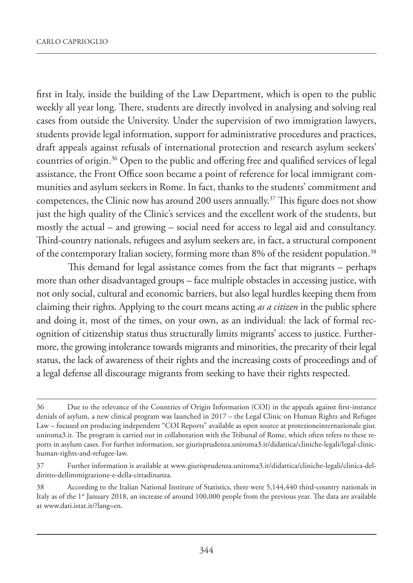first in Italy, inside the building of the Law Department, which is open to the public weekly all year long. There, students are directly involved in analysing and solving real cases from outside the University. Under the supervision of two immigration lawyers, students provide legal information, support for administrative procedures and practices, draft appeals against refusals of international protection and research asylum seekers' countries of origin.36 Open to the public and offering free and qualified services of legal assistance, the Front Office soon became a point of reference for local immigrant communities and asylum seekers in Rome. In fact, thanks to the students' commitment and competences, the Clinic now has around 200 users annually.37 This figure does not show just the high quality of the Clinic's services and the excellent work of the students, but mostly the actual – and growing – social need for access to legal aid and consultancy. Third-country nationals, refugees and asylum seekers are, in fact, a structural component of the contemporary Italian society, forming more than 8% of the resident population.<sup>38</sup>

This demand for legal assistance comes from the fact that migrants – perhaps more than other disadvantaged groups – face multiple obstacles in accessing justice, with not only social, cultural and economic barriers, but also legal hurdles keeping them from claiming their rights. Applying to the court means acting *as a citizen* in the public sphere and doing it, most of the times, on your own, as an individual: the lack of formal recognition of citizenship status thus structurally limits migrants' access to justice. Furthermore, the growing intolerance towards migrants and minorities, the precarity of their legal status, the lack of awareness of their rights and the increasing costs of proceedings and of a legal defense all discourage migrants from seeking to have their rights respected.

<sup>36</sup> Due to the relevance of the Countries of Origin Information (COI) in the appeals against first-instance denials of asylum, a new clinical program was launched in 2017 – the Legal Clinic on Human Rights and Refugee Law – focused on producing independent "COI Reports" available as open source at protezioneinternazionale.giur. uniroma3.it. The program is carried out in collaboration with the Tribunal of Rome, which often refers to these reports in asylum cases. For further information, see giurisprudenza.uniroma3.it/didattica/cliniche-legali/legal-clinichuman-rights-and-refugee-law.

<sup>37</sup> Further information is available at www.giurisprudenza.uniroma3.it/didattica/cliniche-legali/clinica-deldiritto-dellimmigrazione-e-della-cittadinanza.

<sup>38</sup> According to the Italian National Institute of Statistics, there were 5,144,440 third-country nationals in Italy as of the 1<sup>st</sup> January 2018, an increase of around 100,000 people from the previous year. The data are available at www.dati.istat.it/?lang=en.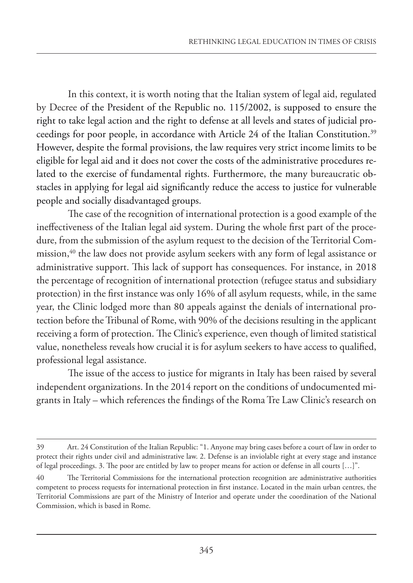In this context, it is worth noting that the Italian system of legal aid, regulated by Decree of the President of the Republic no. 115/2002, is supposed to ensure the right to take legal action and the right to defense at all levels and states of judicial proceedings for poor people, in accordance with Article 24 of the Italian Constitution.<sup>39</sup> However, despite the formal provisions, the law requires very strict income limits to be eligible for legal aid and it does not cover the costs of the administrative procedures related to the exercise of fundamental rights. Furthermore, the many bureaucratic obstacles in applying for legal aid significantly reduce the access to justice for vulnerable people and socially disadvantaged groups.

The case of the recognition of international protection is a good example of the ineffectiveness of the Italian legal aid system. During the whole first part of the procedure, from the submission of the asylum request to the decision of the Territorial Commission,<sup>40</sup> the law does not provide asylum seekers with any form of legal assistance or administrative support. This lack of support has consequences. For instance, in 2018 the percentage of recognition of international protection (refugee status and subsidiary protection) in the first instance was only 16% of all asylum requests, while, in the same year, the Clinic lodged more than 80 appeals against the denials of international protection before the Tribunal of Rome, with 90% of the decisions resulting in the applicant receiving a form of protection. The Clinic's experience, even though of limited statistical value, nonetheless reveals how crucial it is for asylum seekers to have access to qualified, professional legal assistance.

The issue of the access to justice for migrants in Italy has been raised by several independent organizations. In the 2014 report on the conditions of undocumented migrants in Italy – which references the findings of the Roma Tre Law Clinic's research on

<sup>39</sup> Art. 24 Constitution of the Italian Republic: "1. Anyone may bring cases before a court of law in order to protect their rights under civil and administrative law. 2. Defense is an inviolable right at every stage and instance of legal proceedings. 3. The poor are entitled by law to proper means for action or defense in all courts […]".

<sup>40</sup> The Territorial Commissions for the international protection recognition are administrative authorities competent to process requests for international protection in first instance. Located in the main urban centres, the Territorial Commissions are part of the Ministry of Interior and operate under the coordination of the National Commission, which is based in Rome.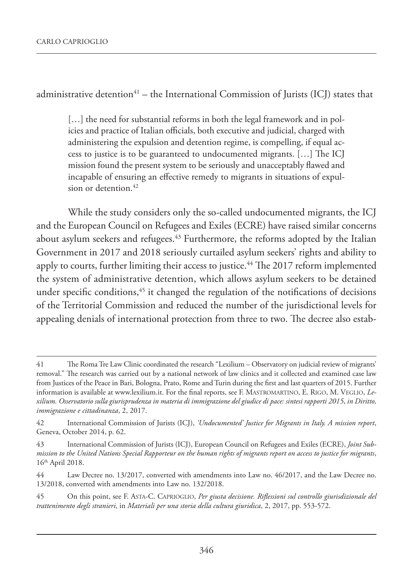administrative detention<sup>41</sup> – the International Commission of Jurists (ICJ) states that

[...] the need for substantial reforms in both the legal framework and in policies and practice of Italian officials, both executive and judicial, charged with administering the expulsion and detention regime, is compelling, if equal access to justice is to be guaranteed to undocumented migrants. […] The ICJ mission found the present system to be seriously and unacceptably flawed and incapable of ensuring an effective remedy to migrants in situations of expulsion or detention.<sup>42</sup>

While the study considers only the so-called undocumented migrants, the ICJ and the European Council on Refugees and Exiles (ECRE) have raised similar concerns about asylum seekers and refugees.<sup>43</sup> Furthermore, the reforms adopted by the Italian Government in 2017 and 2018 seriously curtailed asylum seekers' rights and ability to apply to courts, further limiting their access to justice.<sup>44</sup> The 2017 reform implemented the system of administrative detention, which allows asylum seekers to be detained under specific conditions,<sup>45</sup> it changed the regulation of the notifications of decisions of the Territorial Commission and reduced the number of the jurisdictional levels for appealing denials of international protection from three to two. The decree also estab-

<sup>41</sup> The Roma Tre Law Clinic coordinated the research "Lexilium – Observatory on judicial review of migrants' removal." The research was carried out by a national network of law clinics and it collected and examined case law from Justices of the Peace in Bari, Bologna, Prato, Rome and Turin during the first and last quarters of 2015. Further information is available at www.lexilium.it. For the final reports, see F. MASTROMARTINO, E. RIGO, M. VEGLIO, *Lexilium. Osservatorio sulla giurisprudenza in materia di immigrazione del giudice di pace: sintesi rapporti 2015*, *in Diritto, immigrazione e cittadinanza*, 2, 2017.

<sup>42</sup> International Commission of Jurists (ICJ), *'Undocumented' Justice for Migrants in Italy. A mission report*, Geneva, October 2014, p. 62.

<sup>43</sup> International Commission of Jurists (ICJ), European Council on Refugees and Exiles (ECRE), *Joint Submission to the United Nations Special Rapporteur on the human rights of migrants report on access to justice for migrants*, 16th April 2018.

<sup>44</sup> Law Decree no. 13/2017, converted with amendments into Law no. 46/2017, and the Law Decree no. 13/2018, converted with amendments into Law no. 132/2018.

<sup>45</sup> On this point, see F. ASTA-C. CAPRIOGLIO, *Per giusta decisione. Riflessioni sul controllo giurisdizionale del trattenimento degli stranieri*, in *Materiali per una storia della cultura giuridica*, 2, 2017, pp. 553-572.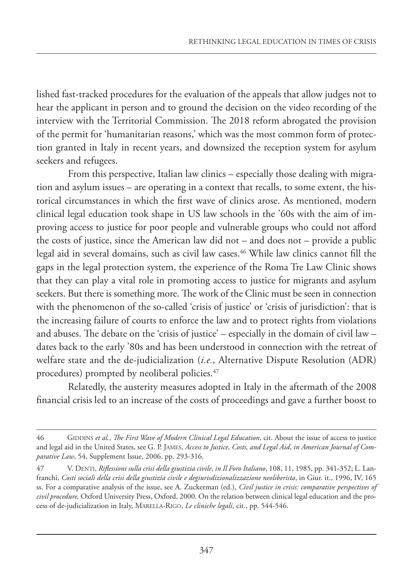lished fast-tracked procedures for the evaluation of the appeals that allow judges not to hear the applicant in person and to ground the decision on the video recording of the interview with the Territorial Commission. The 2018 reform abrogated the provision of the permit for 'humanitarian reasons,' which was the most common form of protection granted in Italy in recent years, and downsized the reception system for asylum seekers and refugees.

From this perspective, Italian law clinics – especially those dealing with migration and asylum issues – are operating in a context that recalls, to some extent, the historical circumstances in which the first wave of clinics arose. As mentioned, modern clinical legal education took shape in US law schools in the '60s with the aim of improving access to justice for poor people and vulnerable groups who could not afford the costs of justice, since the American law did not – and does not – provide a public legal aid in several domains, such as civil law cases.<sup>46</sup> While law clinics cannot fill the gaps in the legal protection system, the experience of the Roma Tre Law Clinic shows that they can play a vital role in promoting access to justice for migrants and asylum seekers. But there is something more. The work of the Clinic must be seen in connection with the phenomenon of the so-called 'crisis of justice' or 'crisis of jurisdiction': that is the increasing failure of courts to enforce the law and to protect rights from violations and abuses. The debate on the 'crisis of justice' – especially in the domain of civil law – dates back to the early '80s and has been understood in connection with the retreat of welfare state and the de-judicialization (*i.e.*, Alternative Dispute Resolution (ADR) procedures) prompted by neoliberal policies.<sup>47</sup>

Relatedly, the austerity measures adopted in Italy in the aftermath of the 2008 financial crisis led to an increase of the costs of proceedings and gave a further boost to

<sup>46</sup> GIDDINS *et al.*, *The First Wave of Modern Clinical Legal Education*, cit. About the issue of access to justice and legal aid in the United States, see G. P. JAMES, *Access to Justice, Costs, and Legal Aid*, *in American Journal of Comparative Law*, 54, Supplement Issue, 2006, pp. 293-316.

<sup>47</sup> V. DENTI, *Riflessioni sulla crisi della giustizia civile*, *in Il Foro Italiano*, 108, 11, 1985, pp. 341-352; L. Lanfranchi, *Costi sociali della crisi della giustizia civile e degiurisdizionalizzazione neoliberista*, in Giur. it., 1996, IV, 165 ss. For a comparative analysis of the issue, see A. Zuckerman (ed.), *Civil justice in crisis: comparative perspectives of civil procedure,* Oxford University Press, Oxford, 2000. On the relation between clinical legal education and the process of de-judicialization in Italy, MARELLA-RIGO, *Le cliniche legali*, cit., pp. 544-546.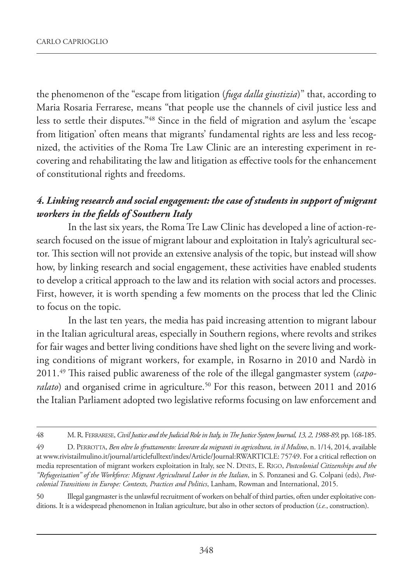the phenomenon of the "escape from litigation (*fuga dalla giustizia*)" that, according to Maria Rosaria Ferrarese, means "that people use the channels of civil justice less and less to settle their disputes."48 Since in the field of migration and asylum the 'escape from litigation' often means that migrants' fundamental rights are less and less recognized, the activities of the Roma Tre Law Clinic are an interesting experiment in recovering and rehabilitating the law and litigation as effective tools for the enhancement of constitutional rights and freedoms.

### *4. Linking research and social engagement: the case of students in support of migrant workers in the fields of Southern Italy*

In the last six years, the Roma Tre Law Clinic has developed a line of action-research focused on the issue of migrant labour and exploitation in Italy's agricultural sector. This section will not provide an extensive analysis of the topic, but instead will show how, by linking research and social engagement, these activities have enabled students to develop a critical approach to the law and its relation with social actors and processes. First, however, it is worth spending a few moments on the process that led the Clinic to focus on the topic.

In the last ten years, the media has paid increasing attention to migrant labour in the Italian agricultural areas, especially in Southern regions, where revolts and strikes for fair wages and better living conditions have shed light on the severe living and working conditions of migrant workers, for example, in Rosarno in 2010 and Nardò in 2011.49 This raised public awareness of the role of the illegal gangmaster system (*caporalato*) and organised crime in agriculture.<sup>50</sup> For this reason, between 2011 and 2016 the Italian Parliament adopted two legislative reforms focusing on law enforcement and

50 Illegal gangmaster is the unlawful recruitment of workers on behalf of third parties, often under exploitative conditions. It is a widespread phenomenon in Italian agriculture, but also in other sectors of production (*i.e.*, construction).

<sup>48</sup> M. R. FERRARESE,*Civil Justice and the Judicial Role in Italy, in The Justice System Journal, 13, 2, 1988-89,* pp. 168-185.

<sup>49</sup> D. PERROTTA, *Ben oltre lo sfruttamento: lavorare da migranti in agricoltura, in il Mulino*, n. 1/14, 2014, available at www.rivistailmulino.it/journal/articlefulltext/index/Article/Journal:RWARTICLE: 75749. For a critical reflection on media representation of migrant workers exploitation in Italy, see N. DINES, E. RIGO, *Postcolonial Citizenships and the "Refugeeization" of the Workforce: Migrant Agricultural Labor in the Italian*, in S. Ponzanesi and G. Colpani (eds), *Postcolonial Transitions in Europe: Contexts, Practices and Politics*, Lanham, Rowman and International, 2015.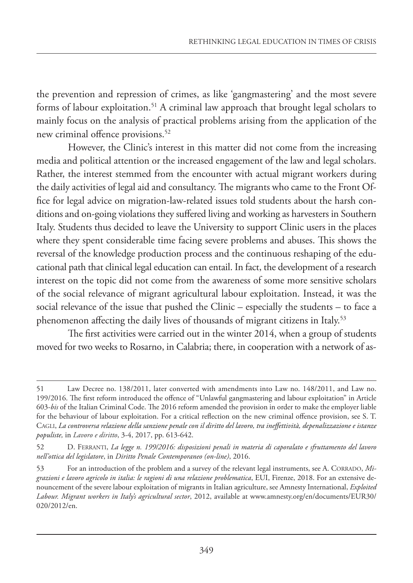the prevention and repression of crimes, as like 'gangmastering' and the most severe forms of labour exploitation.<sup>51</sup> A criminal law approach that brought legal scholars to mainly focus on the analysis of practical problems arising from the application of the new criminal offence provisions.<sup>52</sup>

However, the Clinic's interest in this matter did not come from the increasing media and political attention or the increased engagement of the law and legal scholars. Rather, the interest stemmed from the encounter with actual migrant workers during the daily activities of legal aid and consultancy. The migrants who came to the Front Office for legal advice on migration-law-related issues told students about the harsh conditions and on-going violations they suffered living and working as harvesters in Southern Italy. Students thus decided to leave the University to support Clinic users in the places where they spent considerable time facing severe problems and abuses. This shows the reversal of the knowledge production process and the continuous reshaping of the educational path that clinical legal education can entail. In fact, the development of a research interest on the topic did not come from the awareness of some more sensitive scholars of the social relevance of migrant agricultural labour exploitation. Instead, it was the social relevance of the issue that pushed the Clinic – especially the students – to face a phenomenon affecting the daily lives of thousands of migrant citizens in Italy.<sup>53</sup>

The first activities were carried out in the winter 2014, when a group of students moved for two weeks to Rosarno, in Calabria; there, in cooperation with a network of as-

<sup>51</sup> Law Decree no. 138/2011, later converted with amendments into Law no. 148/2011, and Law no. 199/2016. The first reform introduced the offence of "Unlawful gangmastering and labour exploitation" in Article 603-*bis* of the Italian Criminal Code. The 2016 reform amended the provision in order to make the employer liable for the behaviour of labour exploitation. For a critical reflection on the new criminal offence provision, see S. T. CAGLI, *La controversa relazione della sanzione penale con il diritto del lavoro, tra ineffettività, depenalizzazione e istanze populiste,* in *Lavoro e diritto*, 3-4, 2017, pp. 613-642.

<sup>52</sup> D. FERRANTI, *La legge n. 199/2016: disposizioni penali in materia di caporalato e sfruttamento del lavoro nell'ottica del legislatore*, in *Diritto Penale Contemporaneo (on-line)*, 2016.

<sup>53</sup> For an introduction of the problem and a survey of the relevant legal instruments, see A. CORRADO, *Migrazioni e lavoro agricolo in italia: le ragioni di una relazione problematica*, EUI, Firenze, 2018. For an extensive denouncement of the severe labour exploitation of migrants in Italian agriculture, see Amnesty International, *Exploited Labour. Migrant workers in Italy's agricultural sector*, 2012, available at www.amnesty.org/en/documents/EUR30/ 020/2012/en.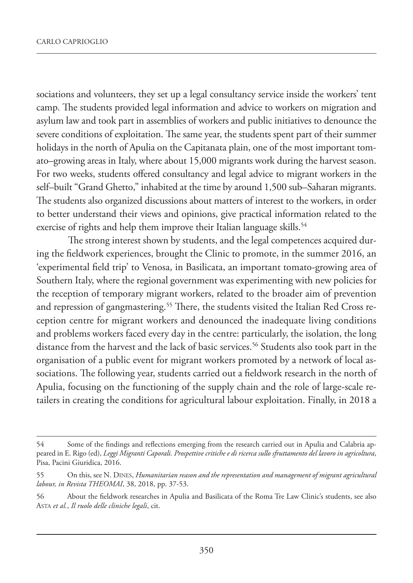sociations and volunteers, they set up a legal consultancy service inside the workers' tent camp. The students provided legal information and advice to workers on migration and asylum law and took part in assemblies of workers and public initiatives to denounce the severe conditions of exploitation. The same year, the students spent part of their summer holidays in the north of Apulia on the Capitanata plain, one of the most important tomato–growing areas in Italy, where about 15,000 migrants work during the harvest season. For two weeks, students offered consultancy and legal advice to migrant workers in the self–built "Grand Ghetto," inhabited at the time by around 1,500 sub–Saharan migrants. The students also organized discussions about matters of interest to the workers, in order to better understand their views and opinions, give practical information related to the exercise of rights and help them improve their Italian language skills.<sup>54</sup>

The strong interest shown by students, and the legal competences acquired during the fieldwork experiences, brought the Clinic to promote, in the summer 2016, an 'experimental field trip' to Venosa, in Basilicata, an important tomato-growing area of Southern Italy, where the regional government was experimenting with new policies for the reception of temporary migrant workers, related to the broader aim of prevention and repression of gangmastering.<sup>55</sup> There, the students visited the Italian Red Cross reception centre for migrant workers and denounced the inadequate living conditions and problems workers faced every day in the centre: particularly, the isolation, the long distance from the harvest and the lack of basic services.<sup>56</sup> Students also took part in the organisation of a public event for migrant workers promoted by a network of local associations. The following year, students carried out a fieldwork research in the north of Apulia, focusing on the functioning of the supply chain and the role of large-scale retailers in creating the conditions for agricultural labour exploitation. Finally, in 2018 a

<sup>54</sup> Some of the findings and reflections emerging from the research carried out in Apulia and Calabria appeared in E. Rigo (ed), *Leggi Migranti Caporali. Prospettive critiche e di ricerca sullo sfruttamento del lavoro in agricoltura*, Pisa, Pacini Giuridica, 2016.

<sup>55</sup> On this, see N. DINES, *Humanitarian reason and the representation and management of migrant agricultural labour, in Revista THEOMAI*, 38, 2018, pp. 37-53.

<sup>56</sup> About the fieldwork researches in Apulia and Basilicata of the Roma Tre Law Clinic's students, see also ASTA *et al.*, *Il ruolo delle cliniche legali*, cit.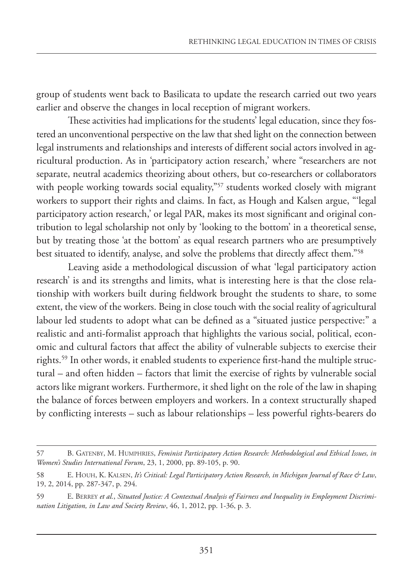group of students went back to Basilicata to update the research carried out two years earlier and observe the changes in local reception of migrant workers.

These activities had implications for the students' legal education, since they fostered an unconventional perspective on the law that shed light on the connection between legal instruments and relationships and interests of different social actors involved in agricultural production. As in 'participatory action research,' where "researchers are not separate, neutral academics theorizing about others, but co-researchers or collaborators with people working towards social equality,"<sup>57</sup> students worked closely with migrant workers to support their rights and claims. In fact, as Hough and Kalsen argue, "'legal participatory action research,' or legal PAR, makes its most significant and original contribution to legal scholarship not only by 'looking to the bottom' in a theoretical sense, but by treating those 'at the bottom' as equal research partners who are presumptively best situated to identify, analyse, and solve the problems that directly affect them."58

Leaving aside a methodological discussion of what 'legal participatory action research' is and its strengths and limits, what is interesting here is that the close relationship with workers built during fieldwork brought the students to share, to some extent, the view of the workers. Being in close touch with the social reality of agricultural labour led students to adopt what can be defined as a "situated justice perspective:" a realistic and anti-formalist approach that highlights the various social, political, economic and cultural factors that affect the ability of vulnerable subjects to exercise their rights.59 In other words, it enabled students to experience first-hand the multiple structural – and often hidden – factors that limit the exercise of rights by vulnerable social actors like migrant workers. Furthermore, it shed light on the role of the law in shaping the balance of forces between employers and workers. In a context structurally shaped by conflicting interests – such as labour relationships – less powerful rights-bearers do

<sup>57</sup> B. GATENBY, M. HUMPHRIES, *Feminist Participatory Action Research: Methodological and Ethical Issues, in Women's Studies International Forum*, 23, 1, 2000, pp. 89-105, p. 90.

<sup>58</sup> E. HOUH, K. KALSEN, *It's Critical: Legal Participatory Action Research, in Michigan Journal of Race & Law*, 19, 2, 2014, pp. 287-347, p. 294.

<sup>59</sup> E. BERREY *et al.*, *Situated Justice: A Contextual Analysis of Fairness and Inequality in Employment Discrimination Litigation, in Law and Society Review*, 46, 1, 2012, pp. 1-36, p. 3.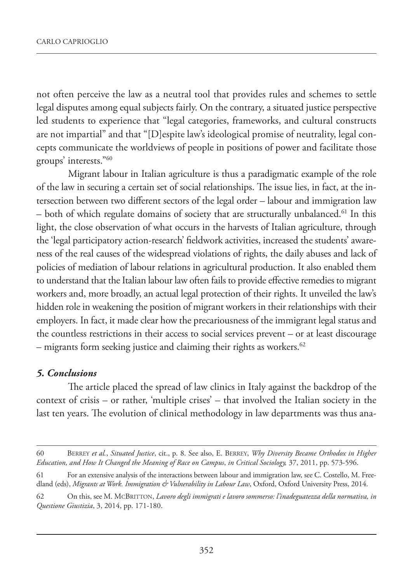not often perceive the law as a neutral tool that provides rules and schemes to settle legal disputes among equal subjects fairly. On the contrary, a situated justice perspective led students to experience that "legal categories, frameworks, and cultural constructs are not impartial" and that "[D]espite law's ideological promise of neutrality, legal concepts communicate the worldviews of people in positions of power and facilitate those groups' interests."60

Migrant labour in Italian agriculture is thus a paradigmatic example of the role of the law in securing a certain set of social relationships. The issue lies, in fact, at the intersection between two different sectors of the legal order – labour and immigration law – both of which regulate domains of society that are structurally unbalanced.61 In this light, the close observation of what occurs in the harvests of Italian agriculture, through the 'legal participatory action-research' fieldwork activities, increased the students' awareness of the real causes of the widespread violations of rights, the daily abuses and lack of policies of mediation of labour relations in agricultural production. It also enabled them to understand that the Italian labour law often fails to provide effective remedies to migrant workers and, more broadly, an actual legal protection of their rights. It unveiled the law's hidden role in weakening the position of migrant workers in their relationships with their employers. In fact, it made clear how the precariousness of the immigrant legal status and the countless restrictions in their access to social services prevent – or at least discourage  $-$  migrants form seeking justice and claiming their rights as workers.<sup>62</sup>

#### *5. Conclusions*

The article placed the spread of law clinics in Italy against the backdrop of the context of crisis – or rather, 'multiple crises' – that involved the Italian society in the last ten years. The evolution of clinical methodology in law departments was thus ana-

<sup>60</sup> BERREY *et al.*, *Situated Justice*, cit., p. 8. See also, E. BERREY, *Why Diversity Became Orthodox in Higher Education, and How It Changed the Meaning of Race on Campus*, *in Critical Sociology,* 37, 2011, pp. 573-596.

<sup>61</sup> For an extensive analysis of the interactions between labour and immigration law, see C. Costello, M. Freedland (eds), *Migrants at Work. Immigration & Vulnerability in Labour Law*, Oxford, Oxford University Press, 2014.

<sup>62</sup> On this, see M. MCBRITTON, *Lavoro degli immigrati e lavoro sommerso: l'inadeguatezza della normativa, in Questione Giustizia*, 3, 2014, pp. 171-180.